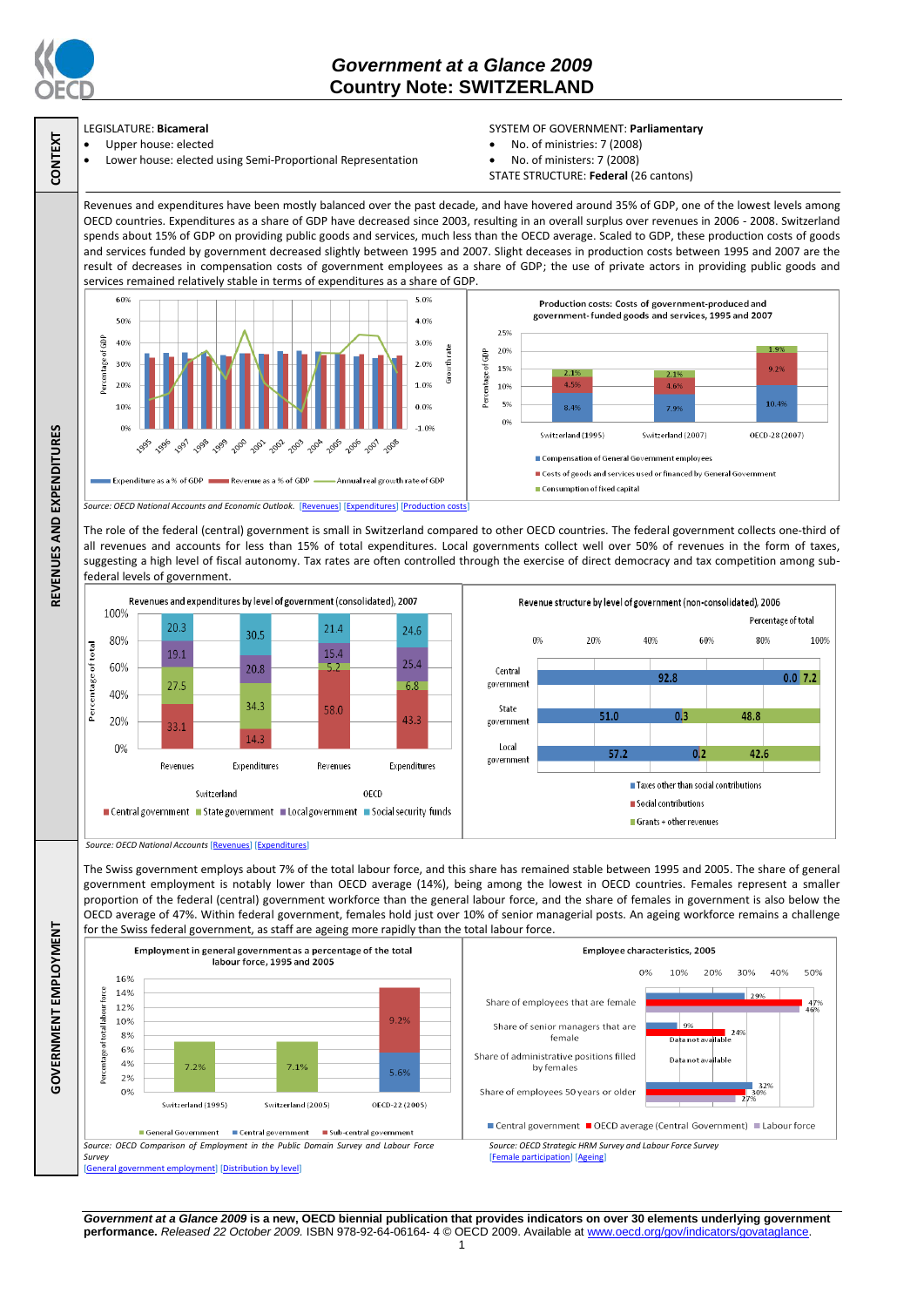

**CONTEXT**

**REVENUES AND EXPENDITURES**

REVENUES AND EXPENDITURES

**GOVERNMENT EMPLOYMENT**

GOVERNMENT EMPLOYMENT

## *Government at a Glance 2009*  **Country Note: SWITZERLAND**

## LEGISLATURE: **Bicameral**

 Upper house: elected Lower house: elected using Semi-Proportional Representation

## SYSTEM OF GOVERNMENT: **Parliamentary**

- No. of ministries: 7 (2008)
- No. of ministers: 7 (2008)
- STATE STRUCTURE: **Federal** (26 cantons)

Revenues and expenditures have been mostly balanced over the past decade, and have hovered around 35% of GDP, one of the lowest levels among OECD countries. Expenditures as a share of GDP have decreased since 2003, resulting in an overall surplus over revenues in 2006 - 2008. Switzerland spends about 15% of GDP on providing public goods and services, much less than the OECD average. Scaled to GDP, these production costs of goods and services funded by government decreased slightly between 1995 and 2007. Slight deceases in production costs between 1995 and 2007 are the result of decreases in compensation costs of government employees as a share of GDP; the use of private actors in providing public goods and services remained relatively stable in terms of expenditures as a share of GDP.



The role of the federal (central) government is small in Switzerland compared to other OECD countries. The federal government collects one-third of all revenues and accounts for less than 15% of total expenditures. Local governments collect well over 50% of revenues in the form of taxes, suggesting a high level of fiscal autonomy. Tax rates are often controlled through the exercise of direct democracy and tax competition among subfederal levels of government.



*Source: OECD National Accounts* [\[Revenues\]](http://dx.doi.org/10.1787/723418413857) [\[Expenditures\]](http://dx.doi.org/10.1787/723508524025)

The Swiss government employs about 7% of the total labour force, and this share has remained stable between 1995 and 2005. The share of general government employment is notably lower than OECD average (14%), being among the lowest in OECD countries. Females represent a smaller proportion of the federal (central) government workforce than the general labour force, and the share of females in government is also below the OECD average of 47%. Within federal government, females hold just over 10% of senior managerial posts. An ageing workforce remains a challenge for the Swiss federal government, as staff are ageing more rapidly than the total labour force.



*Government at a Glance 2009* **is a new, OECD biennial publication that provides indicators on over 30 elements underlying government performance.** *Released 22 October 2009.* ISBN 978-92-64-06164- 4 © OECD 2009. Available at www.oecd.org/gov/indicators/govataglance.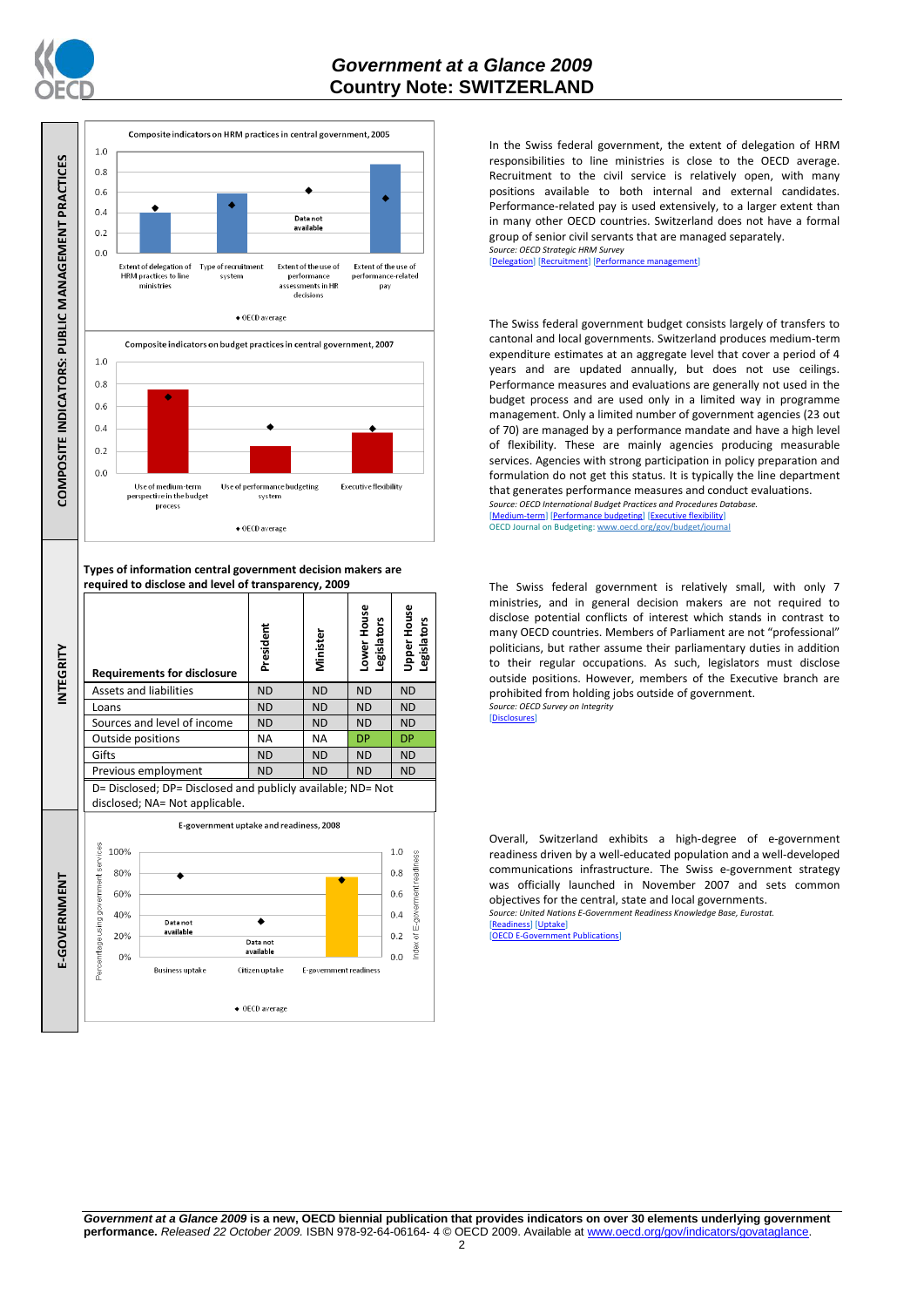





In the Swiss federal government, the extent of delegation of HRM responsibilities to line ministries is close to the OECD average. Recruitment to the civil service is relatively open, with many positions available to both internal and external candidates. Performance-related pay is used extensively, to a larger extent than in many other OECD countries. Switzerland does not have a formal group of senior civil servants that are managed separately. *Source: OECD Strategic HRM Survey* 

[\[Delegation\]](http://dx.doi.org/10.1787/723663744332) [\[Recruitment\]](http://dx.doi.org/10.1787/723668744361) [\[Performance management\]](http://dx.doi.org/10.1787/723750171710)

The Swiss federal government budget consists largely of transfers to cantonal and local governments. Switzerland produces medium-term expenditure estimates at an aggregate level that cover a period of 4 years and are updated annually, but does not use ceilings. Performance measures and evaluations are generally not used in the budget process and are used only in a limited way in programme management. Only a limited number of government agencies (23 out of 70) are managed by a performance mandate and have a high level of flexibility. These are mainly agencies producing measurable services. Agencies with strong participation in policy preparation and formulation do not get this status. It is typically the line department that generates performance measures and conduct evaluations. *Source: OECD International Budget Practices and Procedures Database.*

[\[Medium-term\]](http://dx.doi.org/10.1787/723856770865) [\[Performance budgeting\]](http://dx.doi.org/10.1787/723863437686) [\[Executive flexibility\]](http://dx.doi.org/10.1787/723876713213) OECD Journal on Budgeting: www.oecd.org/gov/budget/jour

The Swiss federal government is relatively small, with only 7 ministries, and in general decision makers are not required to disclose potential conflicts of interest which stands in contrast to many OECD countries. Members of Parliament are not "professional" politicians, but rather assume their parliamentary duties in addition to their regular occupations. As such, legislators must disclose outside positions. However, members of the Executive branch are prohibited from holding jobs outside of government. *Source: OECD Survey on Integrity*

[\[Disclosures\]](http://dx.doi.org/10.1787/724123642681)

Overall, Switzerland exhibits a high-degree of e-government readiness driven by a well-educated population and a well-developed communications infrastructure. The Swiss e-government strategy was officially launched in November 2007 and sets common objectives for the central, state and local governments. *Source: United Nations E-Government Readiness Knowledge Base, Eurostat.*

[\[Readiness\]](http://dx.doi.org/10.1787/724248078408) [\[Uptake\]](http://dx.doi.org/10.1787/724264662272)<br>[OFCD F-Governmen]

nt Publications<sup>1</sup>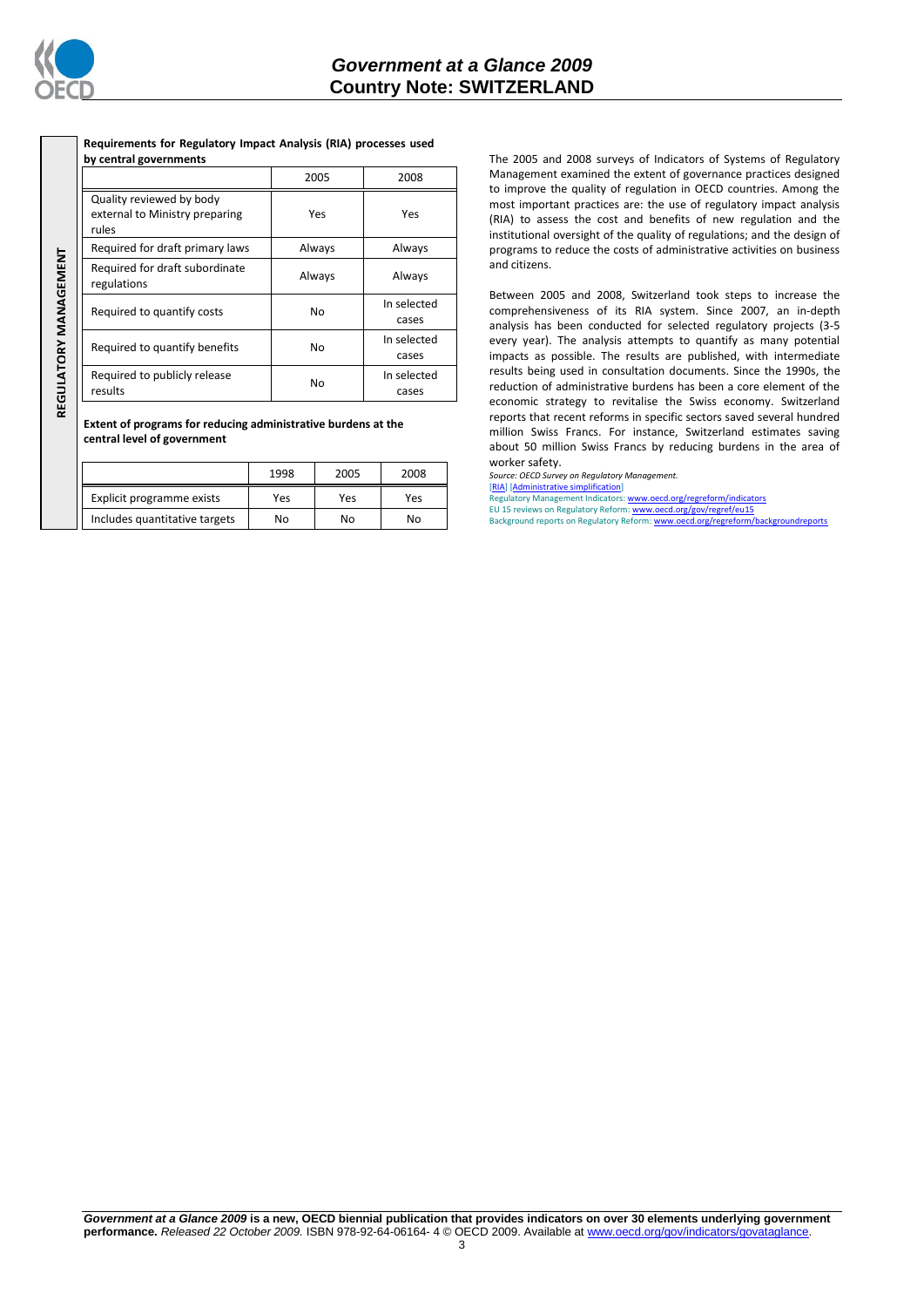

REGULATORY MANAGEMENT **REGULATORY MANAGEMENT**

| by central governments                                              |        |                      |
|---------------------------------------------------------------------|--------|----------------------|
|                                                                     | 2005   | 2008                 |
| Quality reviewed by body<br>external to Ministry preparing<br>rules | Yes    | Yes                  |
| Required for draft primary laws                                     | Always | Always               |
| Required for draft subordinate<br>regulations                       | Always | Always               |
| Required to quantify costs                                          | No     | In selected<br>cases |
| Required to quantify benefits                                       | No     | In selected<br>cases |
| Required to publicly release<br>results                             | No     | In selected<br>cases |

**Requirements for Regulatory Impact Analysis (RIA) processes used** 

**Extent of programs for reducing administrative burdens at the central level of government**

|                               | 1998 | 2005 | 2008 |
|-------------------------------|------|------|------|
| Explicit programme exists     | Yes  | Yes  | Yes  |
| Includes quantitative targets | No   | No   | No   |

The 2005 and 2008 surveys of Indicators of Systems of Regulatory Management examined the extent of governance practices designed to improve the quality of regulation in OECD countries. Among the most important practices are: the use of regulatory impact analysis (RIA) to assess the cost and benefits of new regulation and the institutional oversight of the quality of regulations; and the design of programs to reduce the costs of administrative activities on business and citizens.

Between 2005 and 2008, Switzerland took steps to increase the comprehensiveness of its RIA system. Since 2007, an in-depth analysis has been conducted for selected regulatory projects (3-5 every year). The analysis attempts to quantify as many potential impacts as possible. The results are published, with intermediate results being used in consultation documents. Since the 1990s, the reduction of administrative burdens has been a core element of the economic strategy to revitalise the Swiss economy. Switzerland reports that recent reforms in specific sectors saved several hundred million Swiss Francs. For instance, Switzerland estimates saving about 50 million Swiss Francs by reducing burdens in the area of worker safety.

*Source: OECD Survey on Regulatory Management.*

[\[RIA\]](http://dx.doi.org/10.1787/724045144354) [\[Administrative simplification\]](http://dx.doi.org/10.1787/724058851054) Regulatory Management Indicators[: www.oecd.org/regreform/indicators](http://www.oecd.org/regreform/indicators)

EU 15 reviews on Regulatory Reform[: www.oecd.org/gov/regref/eu15](http://www.oecd.org/gov/regref/eu15)<br>Background reports on Regulatory Reform[: www.oecd.org/regreform/backgroundreports](http://www.oecd.org/regreform/backgroundreports)